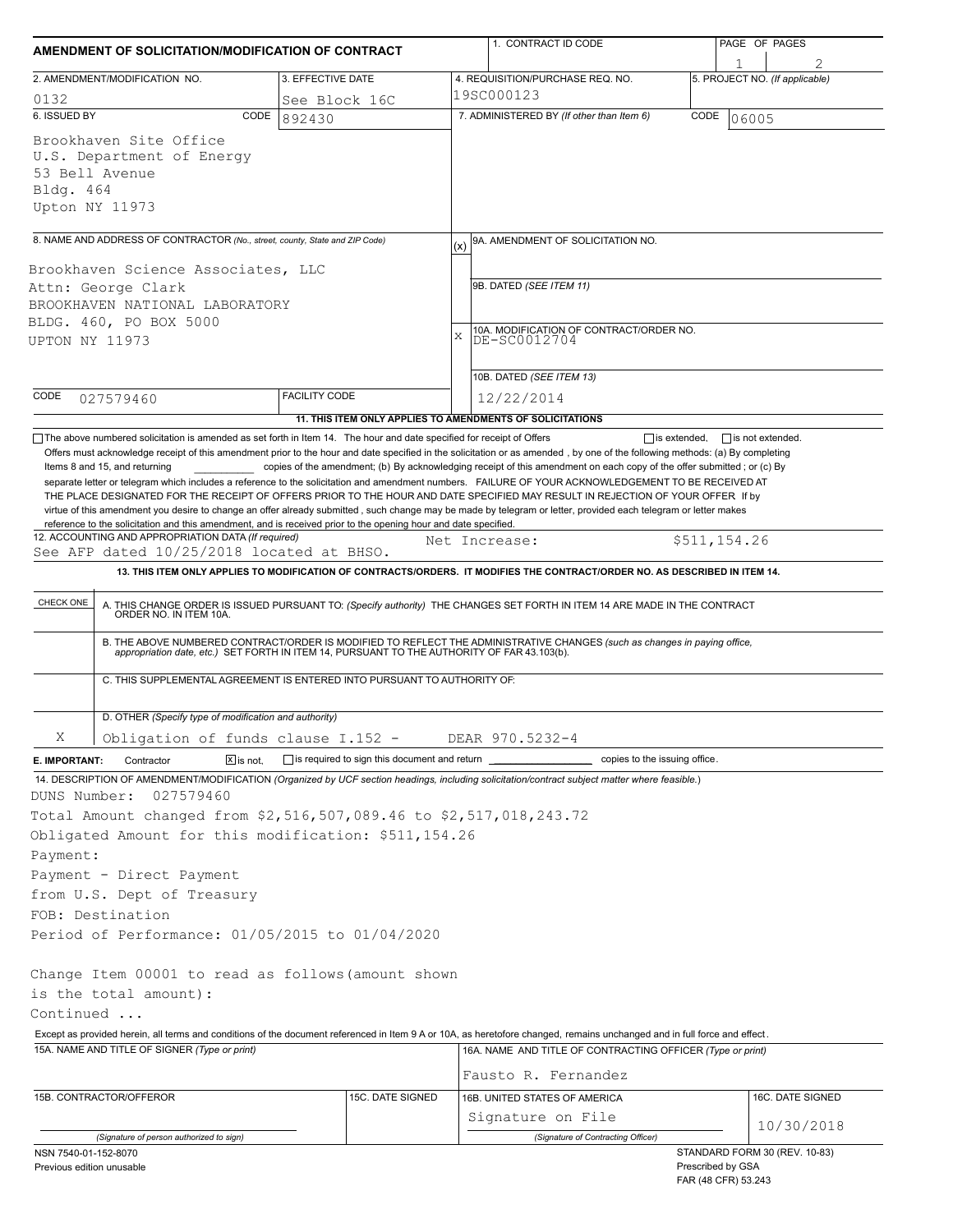| AMENDMENT OF SOLICITATION/MODIFICATION OF CONTRACT                                                                                                                         |                                                           |     | 1. CONTRACT ID CODE                                                                                                                                                                                                                                                                                                                                                                                                                                                                                                       |                                          | PAGE OF PAGES                  |  |
|----------------------------------------------------------------------------------------------------------------------------------------------------------------------------|-----------------------------------------------------------|-----|---------------------------------------------------------------------------------------------------------------------------------------------------------------------------------------------------------------------------------------------------------------------------------------------------------------------------------------------------------------------------------------------------------------------------------------------------------------------------------------------------------------------------|------------------------------------------|--------------------------------|--|
| 2. AMENDMENT/MODIFICATION NO.                                                                                                                                              | 3. EFFECTIVE DATE                                         |     | 4. REQUISITION/PURCHASE REQ. NO.                                                                                                                                                                                                                                                                                                                                                                                                                                                                                          |                                          | 5. PROJECT NO. (If applicable) |  |
| 0132                                                                                                                                                                       | See Block 16C                                             |     | 19SC000123                                                                                                                                                                                                                                                                                                                                                                                                                                                                                                                |                                          |                                |  |
| 6. ISSUED BY<br>CODE                                                                                                                                                       | 892430                                                    |     | 7. ADMINISTERED BY (If other than Item 6)<br>CODE<br>06005                                                                                                                                                                                                                                                                                                                                                                                                                                                                |                                          |                                |  |
| Brookhaven Site Office<br>U.S. Department of Energy<br>53 Bell Avenue<br>Bldg. 464<br>Upton NY 11973                                                                       |                                                           |     |                                                                                                                                                                                                                                                                                                                                                                                                                                                                                                                           |                                          |                                |  |
| 8. NAME AND ADDRESS OF CONTRACTOR (No., street, county, State and ZIP Code)                                                                                                |                                                           | (x) | 9A. AMENDMENT OF SOLICITATION NO.                                                                                                                                                                                                                                                                                                                                                                                                                                                                                         |                                          |                                |  |
| Brookhaven Science Associates, LLC<br>Attn: George Clark<br>BROOKHAVEN NATIONAL LABORATORY<br>BLDG. 460, PO BOX 5000                                                       |                                                           |     | 9B. DATED (SEE ITEM 11)                                                                                                                                                                                                                                                                                                                                                                                                                                                                                                   |                                          |                                |  |
|                                                                                                                                                                            |                                                           |     |                                                                                                                                                                                                                                                                                                                                                                                                                                                                                                                           |                                          |                                |  |
| CODE<br>027579460                                                                                                                                                          | <b>FACILITY CODE</b>                                      |     | 10B. DATED (SEE ITEM 13)<br>12/22/2014                                                                                                                                                                                                                                                                                                                                                                                                                                                                                    |                                          |                                |  |
|                                                                                                                                                                            | 11. THIS ITEM ONLY APPLIES TO AMENDMENTS OF SOLICITATIONS |     |                                                                                                                                                                                                                                                                                                                                                                                                                                                                                                                           |                                          |                                |  |
| See AFP dated 10/25/2018 located at BHSO.<br>CHECK ONE                                                                                                                     |                                                           |     | Net Increase:<br>13. THIS ITEM ONLY APPLIES TO MODIFICATION OF CONTRACTS/ORDERS. IT MODIFIES THE CONTRACT/ORDER NO. AS DESCRIBED IN ITEM 14.<br>A. THIS CHANGE ORDER IS ISSUED PURSUANT TO: (Specify authority) THE CHANGES SET FORTH IN ITEM 14 ARE MADE IN THE CONTRACT ORDER NO. IN ITEM 10A.<br>B. THE ABOVE NUMBERED CONTRACT/ORDER IS MODIFIED TO REFLECT THE ADMINISTRATIVE CHANGES (such as changes in paying office, appropriation date, etc.) SET FORTH IN ITEM 14, PURSUANT TO THE AUTHORITY OF FAR 43.103(b). | \$511,154.26                             |                                |  |
| C. THIS SUPPLEMENTAL AGREEMENT IS ENTERED INTO PURSUANT TO AUTHORITY OF:                                                                                                   |                                                           |     |                                                                                                                                                                                                                                                                                                                                                                                                                                                                                                                           |                                          |                                |  |
| D. OTHER (Specify type of modification and authority)                                                                                                                      |                                                           |     |                                                                                                                                                                                                                                                                                                                                                                                                                                                                                                                           |                                          |                                |  |
| Χ<br>Obligation of funds clause I.152 -                                                                                                                                    |                                                           |     | DEAR 970.5232-4                                                                                                                                                                                                                                                                                                                                                                                                                                                                                                           |                                          |                                |  |
| $\boxed{\mathsf{X}}$ is not.<br>Contractor<br>E. IMPORTANT:                                                                                                                | $\Box$ is required to sign this document and return       |     | copies to the issuing office.                                                                                                                                                                                                                                                                                                                                                                                                                                                                                             |                                          |                                |  |
| 14. DESCRIPTION OF AMENDMENT/MODIFICATION (Organized by UCF section headings, including solicitation/contract subject matter where feasible.)<br>DUNS Number:<br>027579460 |                                                           |     |                                                                                                                                                                                                                                                                                                                                                                                                                                                                                                                           |                                          |                                |  |
| Total Amount changed from \$2,516,507,089.46 to \$2,517,018,243.72                                                                                                         |                                                           |     |                                                                                                                                                                                                                                                                                                                                                                                                                                                                                                                           |                                          |                                |  |
| Obligated Amount for this modification: \$511,154.26<br>Payment:                                                                                                           |                                                           |     |                                                                                                                                                                                                                                                                                                                                                                                                                                                                                                                           |                                          |                                |  |
| Payment - Direct Payment                                                                                                                                                   |                                                           |     |                                                                                                                                                                                                                                                                                                                                                                                                                                                                                                                           |                                          |                                |  |
| from U.S. Dept of Treasury                                                                                                                                                 |                                                           |     |                                                                                                                                                                                                                                                                                                                                                                                                                                                                                                                           |                                          |                                |  |
| FOB: Destination                                                                                                                                                           |                                                           |     |                                                                                                                                                                                                                                                                                                                                                                                                                                                                                                                           |                                          |                                |  |
| Period of Performance: 01/05/2015 to 01/04/2020                                                                                                                            |                                                           |     |                                                                                                                                                                                                                                                                                                                                                                                                                                                                                                                           |                                          |                                |  |
| Change Item 00001 to read as follows (amount shown<br>is the total amount):<br>Continued                                                                                   |                                                           |     |                                                                                                                                                                                                                                                                                                                                                                                                                                                                                                                           |                                          |                                |  |
| Except as provided herein, all terms and conditions of the document referenced in Item 9 A or 10A, as heretofore changed, remains unchanged and in full force and effect.  |                                                           |     |                                                                                                                                                                                                                                                                                                                                                                                                                                                                                                                           |                                          |                                |  |
| 15A. NAME AND TITLE OF SIGNER (Type or print)                                                                                                                              |                                                           |     | 16A. NAME AND TITLE OF CONTRACTING OFFICER (Type or print)                                                                                                                                                                                                                                                                                                                                                                                                                                                                |                                          |                                |  |
|                                                                                                                                                                            |                                                           |     | Fausto R. Fernandez                                                                                                                                                                                                                                                                                                                                                                                                                                                                                                       |                                          |                                |  |
| 15B. CONTRACTOR/OFFEROR                                                                                                                                                    | 15C. DATE SIGNED                                          |     | 16B. UNITED STATES OF AMERICA                                                                                                                                                                                                                                                                                                                                                                                                                                                                                             |                                          | 16C. DATE SIGNED               |  |
|                                                                                                                                                                            |                                                           |     | Signature on File                                                                                                                                                                                                                                                                                                                                                                                                                                                                                                         |                                          | 10/30/2018                     |  |
| (Signature of person authorized to sign)<br>NSN 7540-01-152-8070                                                                                                           |                                                           |     | (Signature of Contracting Officer)                                                                                                                                                                                                                                                                                                                                                                                                                                                                                        |                                          | STANDARD FORM 30 (REV. 10-83)  |  |
| Previous edition unusable                                                                                                                                                  |                                                           |     |                                                                                                                                                                                                                                                                                                                                                                                                                                                                                                                           | Prescribed by GSA<br>FAR (48 CFR) 53.243 |                                |  |